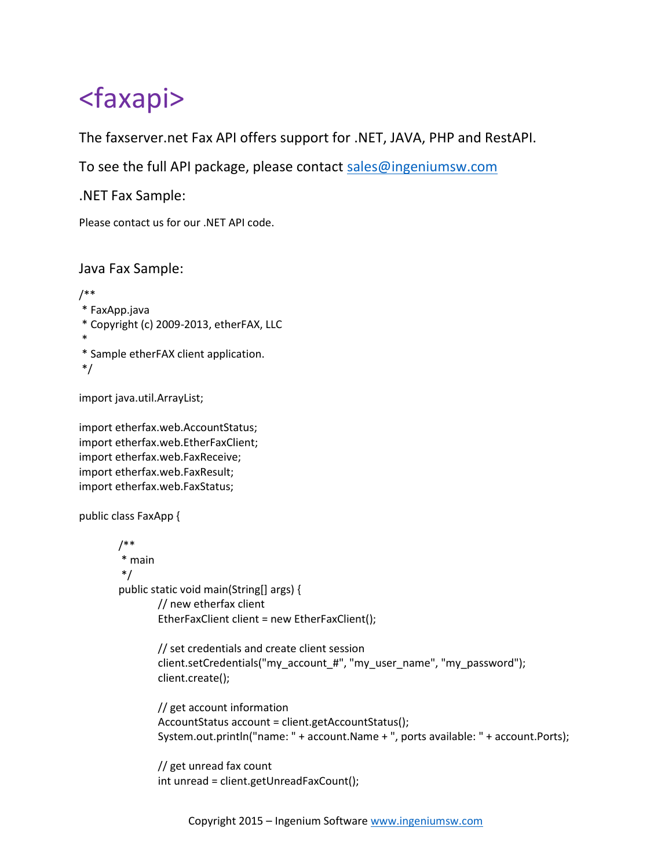## <faxapi>

The faxserver.net Fax API offers support for .NET, JAVA, PHP and RestAPI.

To see the full API package, please contact sales@ingeniumsw.com

.NET Fax Sample:

Please contact us for our .NET API code.

Java Fax Sample:

/\*\* \* FaxApp.java \* Copyright (c) 2009-2013, etherFAX, LLC \* \* Sample etherFAX client application. \*/

import java.util.ArrayList;

import etherfax.web.AccountStatus; import etherfax.web.EtherFaxClient; import etherfax.web.FaxReceive; import etherfax.web.FaxResult; import etherfax.web.FaxStatus;

```
public class FaxApp {
```

```
/**
* main
*/
public static void main(String[] args) {
        // new etherfax client
        EtherFaxClient client = new EtherFaxClient();
```

```
// set credentials and create client session
client.setCredentials("my_account_#", "my_user_name", "my_password");
client.create();
```

```
// get account information
AccountStatus account = client.getAccountStatus();
System.out.println("name: " + account.Name + ", ports available: " + account.Ports);
```
// get unread fax count int unread = client.getUnreadFaxCount();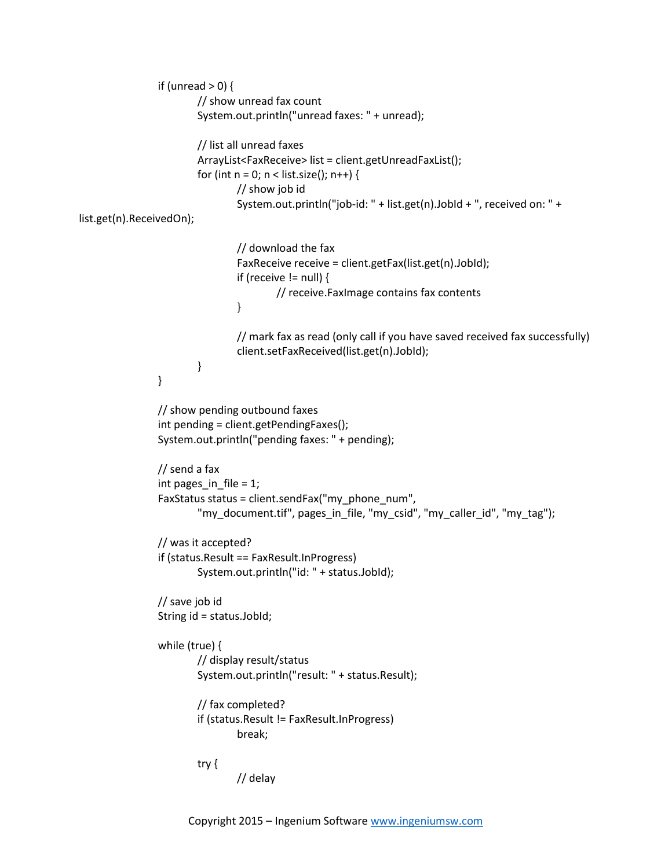```
if (unread > 0) {
                        // show unread fax count
                        System.out.println("unread faxes: " + unread);
                        // list all unread faxes
                        ArrayList<FaxReceive> list = client.getUnreadFaxList();
                        for (int n = 0; n < list.size(); n++) {
                                 // show job id
                                 System.out.println("job-id: " + list.get(n).JobId + ", received on: " +
list.get(n).ReceivedOn);
                                 // download the fax
                                 FaxReceive receive = client.getFax(list.get(n).JobId);
                                 if (receive != null) {
                                         // receive.FaxImage contains fax contents
                                 }
                                 // mark fax as read (only call if you have saved received fax successfully)
                                 client.setFaxReceived(list.get(n).JobId);
                        }
                }
                // show pending outbound faxes
                int pending = client.getPendingFaxes();
                System.out.println("pending faxes: " + pending);
                // send a fax
                int pages in file = 1;FaxStatus status = client.sendFax("my_phone_num",
                        "my_document.tif", pages_in_file, "my_csid", "my_caller_id", "my_tag");
                // was it accepted?
                if (status.Result == FaxResult.InProgress)
                        System.out.println("id: " + status.JobId);
                // save job id
                String id = status.JobId;
                while (true) {
                        // display result/status
                        System.out.println("result: " + status.Result);
                        // fax completed?
                        if (status.Result != FaxResult.InProgress)
                                 break;
                        try {
                                 // delay
```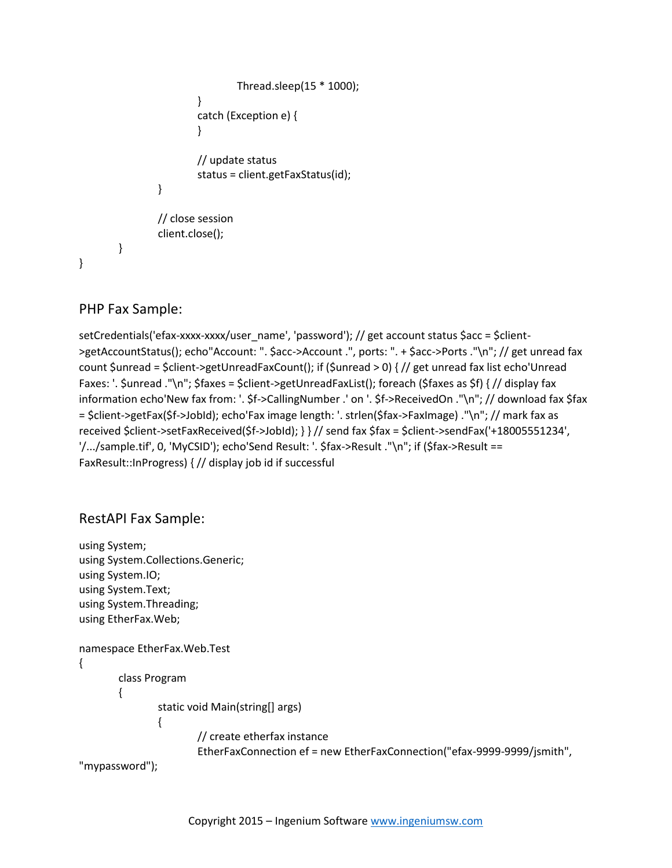```
Thread.sleep(15 * 1000);
                         }
                         catch (Exception e) {
                         }
                         // update status
                         status = client.getFaxStatus(id);
                }
                // close session
                client.close();
        }
}
```
## PHP Fax Sample:

setCredentials('efax-xxxx-xxxx/user\_name', 'password'); // get account status \$acc = \$client- >getAccountStatus(); echo"Account: ". \$acc->Account .", ports: ". + \$acc->Ports ."\n"; // get unread fax count \$unread = \$client->getUnreadFaxCount(); if (\$unread > 0) { // get unread fax list echo'Unread Faxes: '. \$unread ."\n"; \$faxes = \$client->getUnreadFaxList(); foreach (\$faxes as \$f) { // display fax information echo'New fax from: '. \$f->CallingNumber .' on '. \$f->ReceivedOn ."\n"; // download fax \$fax = \$client->getFax(\$f->JobId); echo'Fax image length: '. strlen(\$fax->FaxImage) ."\n"; // mark fax as received \$client->setFaxReceived(\$f->JobId); } } // send fax \$fax = \$client->sendFax('+18005551234', '/.../sample.tif', 0, 'MyCSID'); echo'Send Result: '. \$fax->Result ."\n"; if (\$fax->Result == FaxResult::InProgress) { // display job id if successful

## RestAPI Fax Sample:

```
using System;
using System.Collections.Generic;
using System.IO;
using System.Text;
using System.Threading;
using EtherFax.Web;
namespace EtherFax.Web.Test
{
       class Program
       {
               static void Main(string[] args)
               {
                       // create etherfax instance
                       EtherFaxConnection ef = new EtherFaxConnection("efax-9999-9999/jsmith",
"mypassword");
```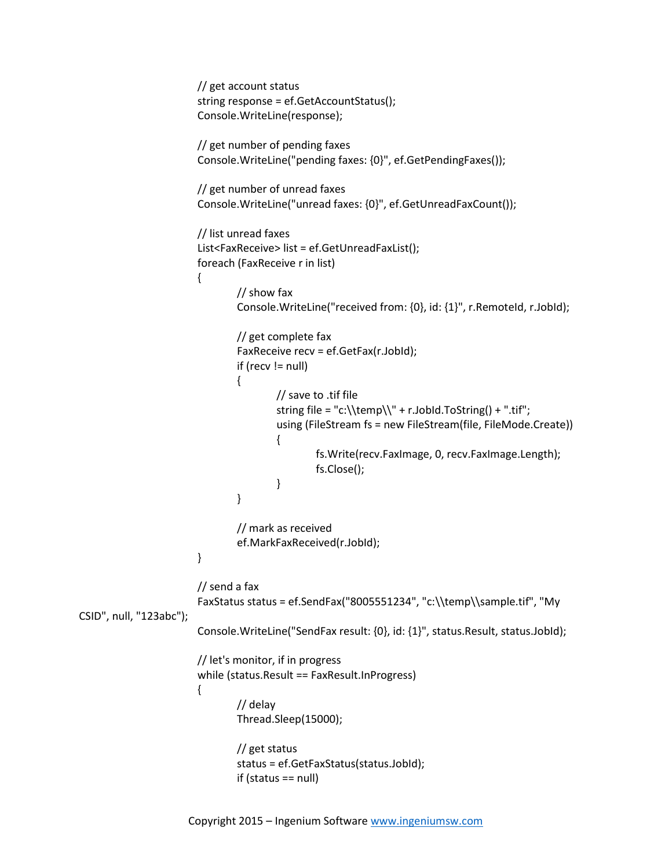```
// get account status
                        string response = ef.GetAccountStatus();
                        Console.WriteLine(response);
                        // get number of pending faxes
                        Console.WriteLine("pending faxes: {0}", ef.GetPendingFaxes());
                        // get number of unread faxes
                        Console.WriteLine("unread faxes: {0}", ef.GetUnreadFaxCount());
                        // list unread faxes
                        List<FaxReceive> list = ef.GetUnreadFaxList();
                        foreach (FaxReceive r in list)
                        {
                                // show fax
                                Console.WriteLine("received from: {0}, id: {1}", r.RemoteId, r.JobId);
                                // get complete fax
                                FaxReceive recv = ef.GetFax(r.JobId);
                                if (recv != null)
                                {
                                         // save to .tif file
                                         string file = "c:\\temp\\" + r.JobId.ToString() + ".tif";
                                         using (FileStream fs = new FileStream(file, FileMode.Create))
                                         {
                                                 fs.Write(recv.FaxImage, 0, recv.FaxImage.Length);
                                                 fs.Close();
                                         }
                                }
                                // mark as received
                                ef.MarkFaxReceived(r.JobId);
                        }
                        // send a fax
                        FaxStatus status = ef.SendFax("8005551234", "c:\\temp\\sample.tif", "My
CSID", null, "123abc");
                        Console.WriteLine("SendFax result: {0}, id: {1}", status.Result, status.JobId);
                        // let's monitor, if in progress
                        while (status.Result == FaxResult.InProgress)
                        {
                                // delay
                                Thread.Sleep(15000);
                                // get status
                                status = ef.GetFaxStatus(status.JobId);
                                if (status == null)
```